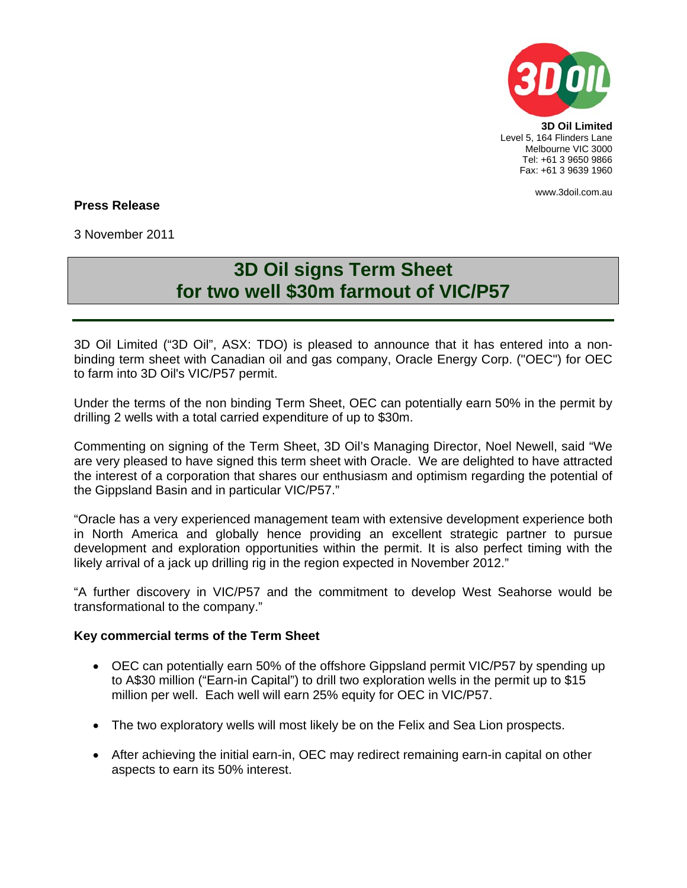

Level 5, 164 Flinders Lane Melbourne VIC 3000 Tel: +61 3 9650 9866 Fax: +61 3 9639 1960

www.3doil.com.au

# **Press Release**

3 November 2011

# **3D Oil signs Term Sheet for two well \$30m farmout of VIC/P57**

3D Oil Limited ("3D Oil", ASX: TDO) is pleased to announce that it has entered into a nonbinding term sheet with Canadian oil and gas company, Oracle Energy Corp. ("OEC") for OEC to farm into 3D Oil's VIC/P57 permit.

Under the terms of the non binding Term Sheet, OEC can potentially earn 50% in the permit by drilling 2 wells with a total carried expenditure of up to \$30m.

Commenting on signing of the Term Sheet, 3D Oil's Managing Director, Noel Newell, said "We are very pleased to have signed this term sheet with Oracle. We are delighted to have attracted the interest of a corporation that shares our enthusiasm and optimism regarding the potential of the Gippsland Basin and in particular VIC/P57."

"Oracle has a very experienced management team with extensive development experience both in North America and globally hence providing an excellent strategic partner to pursue development and exploration opportunities within the permit. It is also perfect timing with the likely arrival of a jack up drilling rig in the region expected in November 2012."

"A further discovery in VIC/P57 and the commitment to develop West Seahorse would be transformational to the company."

#### **Key commercial terms of the Term Sheet**

- OEC can potentially earn 50% of the offshore Gippsland permit VIC/P57 by spending up to A\$30 million ("Earn-in Capital") to drill two exploration wells in the permit up to \$15 million per well. Each well will earn 25% equity for OEC in VIC/P57.
- The two exploratory wells will most likely be on the Felix and Sea Lion prospects.
- After achieving the initial earn-in, OEC may redirect remaining earn-in capital on other aspects to earn its 50% interest.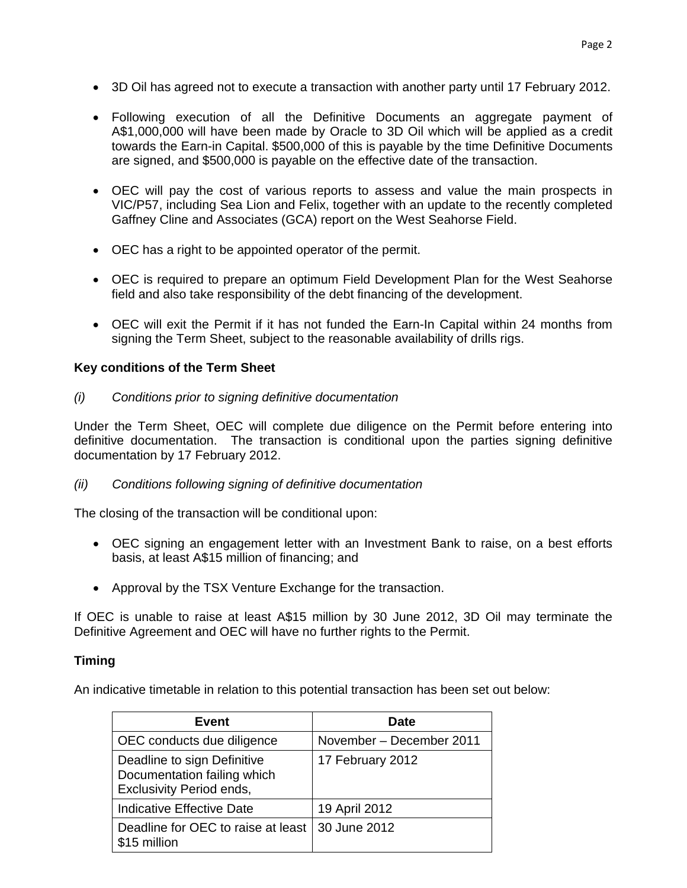- 3D Oil has agreed not to execute a transaction with another party until 17 February 2012.
- Following execution of all the Definitive Documents an aggregate payment of A\$1,000,000 will have been made by Oracle to 3D Oil which will be applied as a credit towards the Earn-in Capital. \$500,000 of this is payable by the time Definitive Documents are signed, and \$500,000 is payable on the effective date of the transaction.
- OEC will pay the cost of various reports to assess and value the main prospects in VIC/P57, including Sea Lion and Felix, together with an update to the recently completed Gaffney Cline and Associates (GCA) report on the West Seahorse Field.
- OEC has a right to be appointed operator of the permit.
- OEC is required to prepare an optimum Field Development Plan for the West Seahorse field and also take responsibility of the debt financing of the development.
- OEC will exit the Permit if it has not funded the Earn-In Capital within 24 months from signing the Term Sheet, subject to the reasonable availability of drills rigs.

# **Key conditions of the Term Sheet**

*(i) Conditions prior to signing definitive documentation* 

Under the Term Sheet, OEC will complete due diligence on the Permit before entering into definitive documentation. The transaction is conditional upon the parties signing definitive documentation by 17 February 2012.

*(ii) Conditions following signing of definitive documentation* 

The closing of the transaction will be conditional upon:

- OEC signing an engagement letter with an Investment Bank to raise, on a best efforts basis, at least A\$15 million of financing; and
- Approval by the TSX Venture Exchange for the transaction.

If OEC is unable to raise at least A\$15 million by 30 June 2012, 3D Oil may terminate the Definitive Agreement and OEC will have no further rights to the Permit.

## **Timing**

An indicative timetable in relation to this potential transaction has been set out below:

| Event                                                                                         | Date                     |
|-----------------------------------------------------------------------------------------------|--------------------------|
| OEC conducts due diligence                                                                    | November - December 2011 |
| Deadline to sign Definitive<br>Documentation failing which<br><b>Exclusivity Period ends,</b> | 17 February 2012         |
| Indicative Effective Date                                                                     | 19 April 2012            |
| Deadline for OEC to raise at least<br>\$15 million                                            | 30 June 2012             |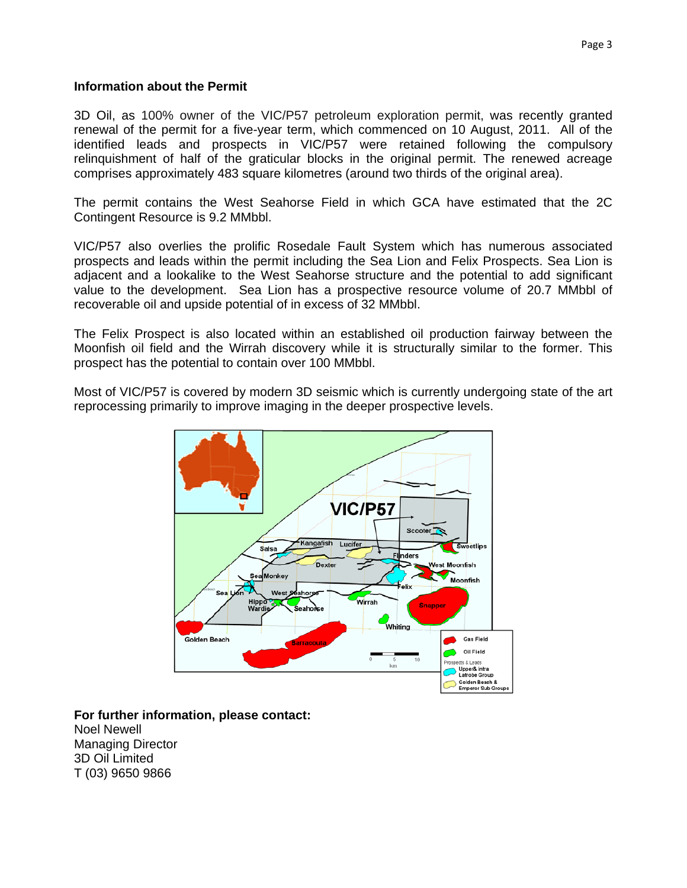#### **Information about the Permit**

3D Oil, as 100% owner of the VIC/P57 petroleum exploration permit, was recently granted renewal of the permit for a five-year term, which commenced on 10 August, 2011. All of the identified leads and prospects in VIC/P57 were retained following the compulsory relinquishment of half of the graticular blocks in the original permit. The renewed acreage comprises approximately 483 square kilometres (around two thirds of the original area).

The permit contains the West Seahorse Field in which GCA have estimated that the 2C Contingent Resource is 9.2 MMbbl.

VIC/P57 also overlies the prolific Rosedale Fault System which has numerous associated prospects and leads within the permit including the Sea Lion and Felix Prospects. Sea Lion is adjacent and a lookalike to the West Seahorse structure and the potential to add significant value to the development. Sea Lion has a prospective resource volume of 20.7 MMbbl of recoverable oil and upside potential of in excess of 32 MMbbl.

The Felix Prospect is also located within an established oil production fairway between the Moonfish oil field and the Wirrah discovery while it is structurally similar to the former. This prospect has the potential to contain over 100 MMbbl.

Most of VIC/P57 is covered by modern 3D seismic which is currently undergoing state of the art reprocessing primarily to improve imaging in the deeper prospective levels.



**For further information, please contact:**  Noel Newell Managing Director 3D Oil Limited T (03) 9650 9866